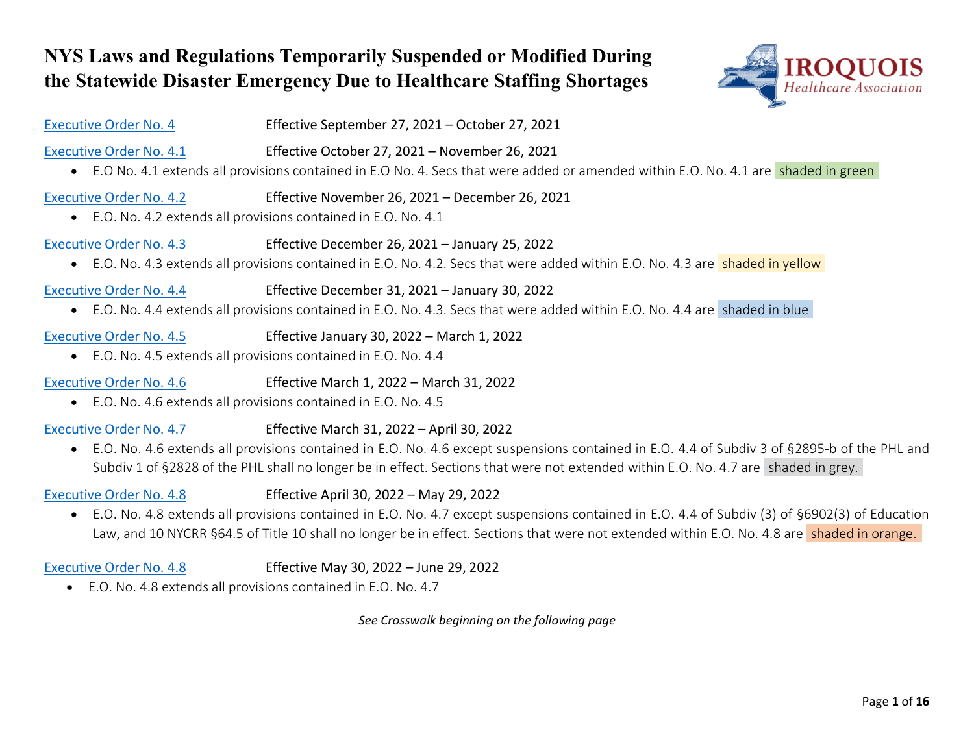# **NYS Laws and Regulations Temporarily Suspended or Modified During the Statewide Disaster Emergency Due to Healthcare Staffing Shortages**



| <b>Executive Order No. 4</b>                | Effective September 27, 2021 - October 27, 2021                                                                                                                                         |
|---------------------------------------------|-----------------------------------------------------------------------------------------------------------------------------------------------------------------------------------------|
| <b>Executive Order No. 4.1</b>              | Effective October 27, 2021 - November 26, 2021<br>• E.O No. 4.1 extends all provisions contained in E.O No. 4. Secs that were added or amended within E.O. No. 4.1 are shaded in green  |
| <b>Executive Order No. 4.2</b>              | Effective November 26, 2021 - December 26, 2021<br>• E.O. No. 4.2 extends all provisions contained in E.O. No. 4.1                                                                      |
| <b>Executive Order No. 4.3</b>              | Effective December 26, 2021 - January 25, 2022<br>• E.O. No. 4.3 extends all provisions contained in E.O. No. 4.2. Secs that were added within E.O. No. 4.3 are <b>shaded in yellow</b> |
| <b>Executive Order No. 4.4</b><br>$\bullet$ | Effective December 31, 2021 - January 30, 2022<br>E.O. No. 4.4 extends all provisions contained in E.O. No. 4.3. Secs that were added within E.O. No. 4.4 are shaded in blue            |
| <b>Executive Order No. 4.5</b>              | Effective January 30, 2022 - March 1, 2022<br>• E.O. No. 4.5 extends all provisions contained in E.O. No. 4.4                                                                           |
| <b>Executive Order No. 4.6</b>              | Effective March 1, 2022 - March 31, 2022                                                                                                                                                |

• E.O. No. 4.6 extends all provisions contained in E.O. No. 4.5

## [Executive Order No. 4.7](https://www.governor.ny.gov/executive-order/no-47-continuing-declaration-statewide-disaster-emergency-due-healthcare-staffing) Effective March 31, 2022 – April 30, 2022

• E.O. No. 4.6 extends all provisions contained in E.O. No. 4.6 except suspensions contained in E.O. 4.4 of Subdiv 3 of §2895-b of the PHL and Subdiv 1 of §2828 of the PHL shall no longer be in effect. Sections that were not extended within E.O. No. 4.7 are shaded in grey.

### [Executive Order No. 4.8](https://www.governor.ny.gov/executive-order/no-48-continuing-declaration-statewide-disaster-emergency-due-healthcare-staffing) Effective April 30, 2022 – May 29, 2022

• E.O. No. 4.8 extends all provisions contained in E.O. No. 4.7 except suspensions contained in E.O. 4.4 of Subdiv (3) of §6902(3) of Education Law, and 10 NYCRR §64.5 of Title 10 shall no longer be in effect. Sections that were not extended within E.O. No. 4.8 are shaded in orange.

### [Executive Order No. 4.8](https://www.governor.ny.gov/executive-order/no-49-continuing-declaration-statewide-disaster-emergency-due-healthcare-staffing) Effective May 30, 2022 – June 29, 2022

• E.O. No. 4.8 extends all provisions contained in E.O. No. 4.7

*See Crosswalk beginning on the following page*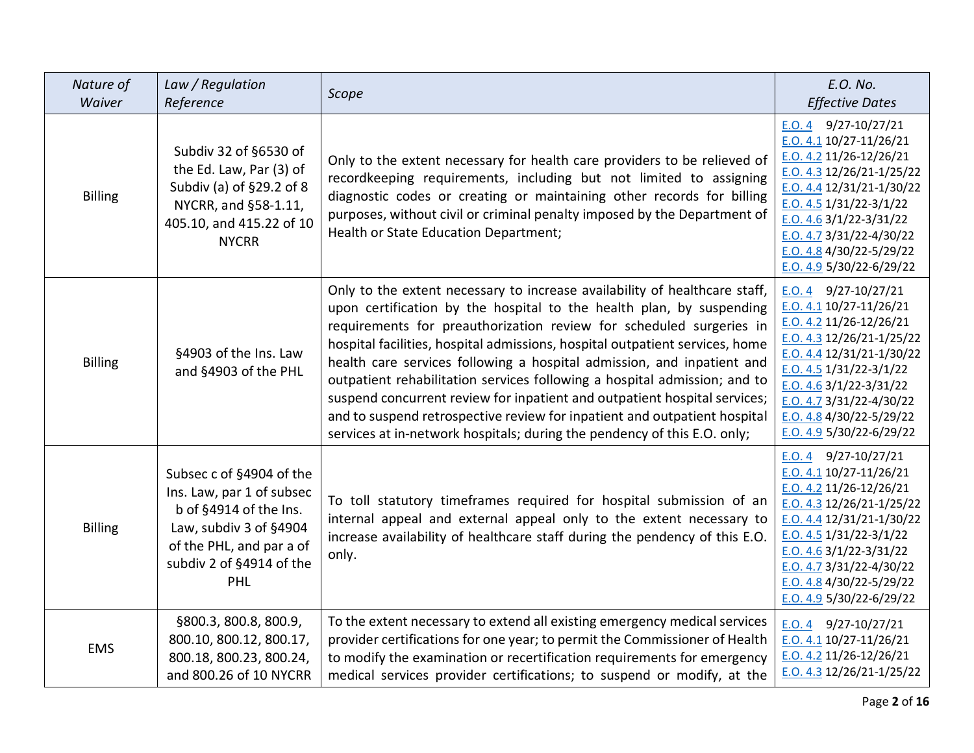| Nature of<br>Waiver | Law / Regulation<br>Reference                                                                                                                                            | Scope                                                                                                                                                                                                                                                                                                                                                                                                                                                                                                                                                                                                                                                                                                  | E.O. No.<br><b>Effective Dates</b>                                                                                                                                                                                                                                                                    |
|---------------------|--------------------------------------------------------------------------------------------------------------------------------------------------------------------------|--------------------------------------------------------------------------------------------------------------------------------------------------------------------------------------------------------------------------------------------------------------------------------------------------------------------------------------------------------------------------------------------------------------------------------------------------------------------------------------------------------------------------------------------------------------------------------------------------------------------------------------------------------------------------------------------------------|-------------------------------------------------------------------------------------------------------------------------------------------------------------------------------------------------------------------------------------------------------------------------------------------------------|
| <b>Billing</b>      | Subdiv 32 of §6530 of<br>the Ed. Law, Par (3) of<br>Subdiv (a) of §29.2 of 8<br>NYCRR, and §58-1.11,<br>405.10, and 415.22 of 10<br><b>NYCRR</b>                         | Only to the extent necessary for health care providers to be relieved of<br>recordkeeping requirements, including but not limited to assigning<br>diagnostic codes or creating or maintaining other records for billing<br>purposes, without civil or criminal penalty imposed by the Department of<br>Health or State Education Department;                                                                                                                                                                                                                                                                                                                                                           | $E.0.4$ 9/27-10/27/21<br>E.O. 4.1 10/27-11/26/21<br>E.O. 4.2 11/26-12/26/21<br>$E.0.4.3$ 12/26/21-1/25/22<br>$E. O. 4.4 12/31/21 - 1/30/22$<br>$E.0.4.5$ 1/31/22-3/1/22<br>$E.0.4.6$ 3/1/22-3/31/22<br>$E.0.4.73/3/22-4/30/22$<br>E.O. 4.8 4/30/22-5/29/22<br>E.O. 4.9 5/30/22-6/29/22                |
| <b>Billing</b>      | §4903 of the Ins. Law<br>and §4903 of the PHL                                                                                                                            | Only to the extent necessary to increase availability of healthcare staff,<br>upon certification by the hospital to the health plan, by suspending<br>requirements for preauthorization review for scheduled surgeries in<br>hospital facilities, hospital admissions, hospital outpatient services, home<br>health care services following a hospital admission, and inpatient and<br>outpatient rehabilitation services following a hospital admission; and to<br>suspend concurrent review for inpatient and outpatient hospital services;<br>and to suspend retrospective review for inpatient and outpatient hospital<br>services at in-network hospitals; during the pendency of this E.O. only; | $E.0.4$ 9/27-10/27/21<br>E.O. 4.1 10/27-11/26/21<br>$E.0.4.2$ 11/26-12/26/21<br>E.O. 4.3 12/26/21-1/25/22<br>$E. O. 4.4 12/31/21 - 1/30/22$<br>$E.0.4.5$ 1/31/22-3/1/22<br>E.O. 4.6 $3/1/22 - 3/31/22$<br>$E. O. 4.7 3/31/22 - 4/30/22$<br>E.O. 4.8 $4/30/22 - 5/29/22$<br>E.O. $4.9$ 5/30/22-6/29/22 |
| <b>Billing</b>      | Subsec c of §4904 of the<br>Ins. Law, par 1 of subsec<br>b of §4914 of the Ins.<br>Law, subdiv 3 of §4904<br>of the PHL, and par a of<br>subdiv 2 of §4914 of the<br>PHL | To toll statutory timeframes required for hospital submission of an<br>internal appeal and external appeal only to the extent necessary to<br>increase availability of healthcare staff during the pendency of this E.O.<br>only.                                                                                                                                                                                                                                                                                                                                                                                                                                                                      | $E.0.4$ 9/27-10/27/21<br>E.O. 4.1 10/27-11/26/21<br>$E.0.4.2$ 11/26-12/26/21<br>E.O. 4.3 12/26/21-1/25/22<br>$E. O. 4.4 12/31/21 - 1/30/22$<br>$E.0.4.5$ 1/31/22-3/1/22<br>E.O. $4.63/1/22-3/31/22$<br>E.O. 4.7 3/31/22-4/30/22<br>$E.0.4.8$ 4/30/22-5/29/22<br>E.O. 4.9 $5/30/22 - 6/29/22$          |
| <b>EMS</b>          | §800.3, 800.8, 800.9,<br>800.10, 800.12, 800.17,<br>800.18, 800.23, 800.24,<br>and 800.26 of 10 NYCRR                                                                    | To the extent necessary to extend all existing emergency medical services<br>provider certifications for one year; to permit the Commissioner of Health<br>to modify the examination or recertification requirements for emergency<br>medical services provider certifications; to suspend or modify, at the                                                                                                                                                                                                                                                                                                                                                                                           | E.O. 4 $9/27-10/27/21$<br>$E.0.4.1$ 10/27-11/26/21<br>$E.0.4.2$ 11/26-12/26/21<br>$E. O. 4.3$ 12/26/21-1/25/22                                                                                                                                                                                        |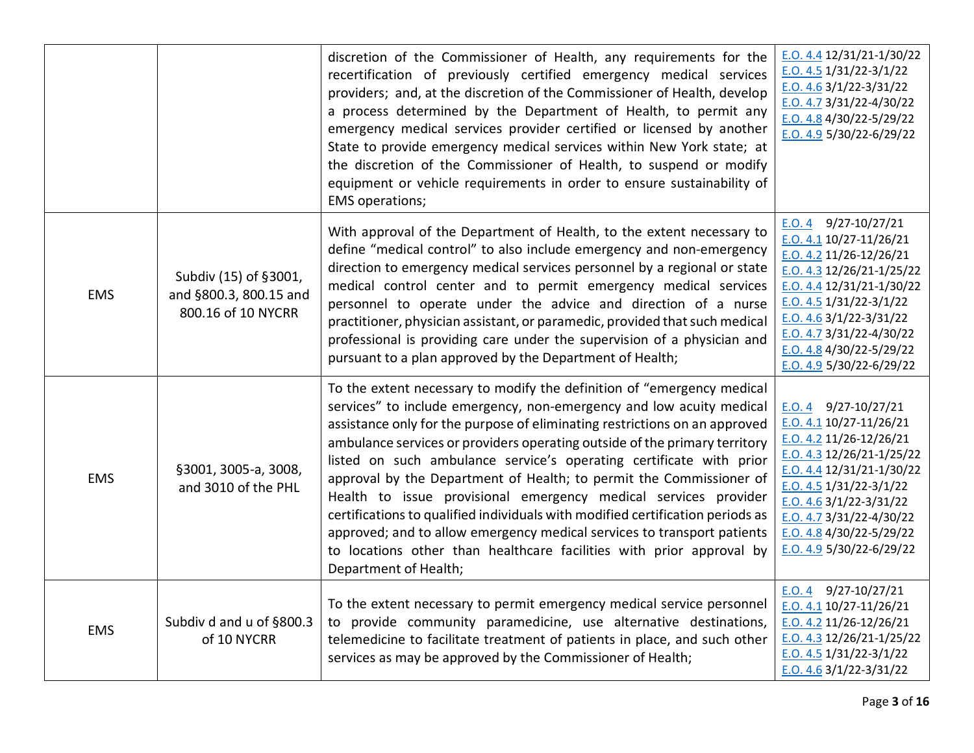|            |                                                                       | discretion of the Commissioner of Health, any requirements for the<br>recertification of previously certified emergency medical services<br>providers; and, at the discretion of the Commissioner of Health, develop<br>a process determined by the Department of Health, to permit any<br>emergency medical services provider certified or licensed by another<br>State to provide emergency medical services within New York state; at<br>the discretion of the Commissioner of Health, to suspend or modify<br>equipment or vehicle requirements in order to ensure sustainability of<br>EMS operations;                                                                                                                                                                               | $E. O. 4.4 12/31/21 - 1/30/22$<br>E.O. $4.5 \frac{1}{31}/22 - \frac{3}{1}/22$<br>$E.0.4.6$ 3/1/22-3/31/22<br>E.O. 4.7 3/31/22-4/30/22<br>E.O. 4.8 $4/30/22 - 5/29/22$<br>E.O. 4.9 5/30/22-6/29/22                                                                                                    |
|------------|-----------------------------------------------------------------------|-------------------------------------------------------------------------------------------------------------------------------------------------------------------------------------------------------------------------------------------------------------------------------------------------------------------------------------------------------------------------------------------------------------------------------------------------------------------------------------------------------------------------------------------------------------------------------------------------------------------------------------------------------------------------------------------------------------------------------------------------------------------------------------------|------------------------------------------------------------------------------------------------------------------------------------------------------------------------------------------------------------------------------------------------------------------------------------------------------|
| <b>EMS</b> | Subdiv (15) of §3001,<br>and §800.3, 800.15 and<br>800.16 of 10 NYCRR | With approval of the Department of Health, to the extent necessary to<br>define "medical control" to also include emergency and non-emergency<br>direction to emergency medical services personnel by a regional or state<br>medical control center and to permit emergency medical services<br>personnel to operate under the advice and direction of a nurse<br>practitioner, physician assistant, or paramedic, provided that such medical<br>professional is providing care under the supervision of a physician and<br>pursuant to a plan approved by the Department of Health;                                                                                                                                                                                                      | E.O. 4 $9/27-10/27/21$<br>E.O. 4.1 10/27-11/26/21<br>$E.0.4.2$ 11/26-12/26/21<br>E.O. 4.3 12/26/21-1/25/22<br>E.O. 4.4 12/31/21-1/30/22<br>E.O. 4.5 $1/31/22 - 3/1/22$<br>$E. O. 4.6$ 3/1/22-3/31/22<br>$E. O. 4.7 3/31/22 - 4/30/22$<br>E.O. 4.8 4/30/22-5/29/22<br>$E. O. 4.9$ 5/30/22-6/29/22     |
| <b>EMS</b> | §3001, 3005-a, 3008,<br>and 3010 of the PHL                           | To the extent necessary to modify the definition of "emergency medical<br>services" to include emergency, non-emergency and low acuity medical<br>assistance only for the purpose of eliminating restrictions on an approved<br>ambulance services or providers operating outside of the primary territory<br>listed on such ambulance service's operating certificate with prior<br>approval by the Department of Health; to permit the Commissioner of<br>Health to issue provisional emergency medical services provider<br>certifications to qualified individuals with modified certification periods as<br>approved; and to allow emergency medical services to transport patients<br>to locations other than healthcare facilities with prior approval by<br>Department of Health; | $E.0.4$ 9/27-10/27/21<br>$E.0.4.1$ 10/27-11/26/21<br>$E.0.4.2$ 11/26-12/26/21<br>$E. O. 4.3$ 12/26/21-1/25/22<br>$E. O. 4.4 12/31/21 - 1/30/22$<br>$E.0.4.5$ 1/31/22-3/1/22<br>E.O. 4.6 $3/1/22 - 3/31/22$<br>$E. O. 4.7$ 3/31/22-4/30/22<br>E.O. 4.8 4/30/22-5/29/22<br>$E. O. 4.9$ 5/30/22-6/29/22 |
| <b>EMS</b> | Subdiv d and u of §800.3<br>of 10 NYCRR                               | To the extent necessary to permit emergency medical service personnel<br>to provide community paramedicine, use alternative destinations,<br>telemedicine to facilitate treatment of patients in place, and such other<br>services as may be approved by the Commissioner of Health;                                                                                                                                                                                                                                                                                                                                                                                                                                                                                                      | $E.0.4$ 9/27-10/27/21<br>E.O. 4.1 10/27-11/26/21<br>E.O. 4.2 11/26-12/26/21<br>$E. O. 4.3$ 12/26/21-1/25/22<br>$E.0.4.5$ 1/31/22-3/1/22<br>$E. O. 4.6$ 3/1/22-3/31/22                                                                                                                                |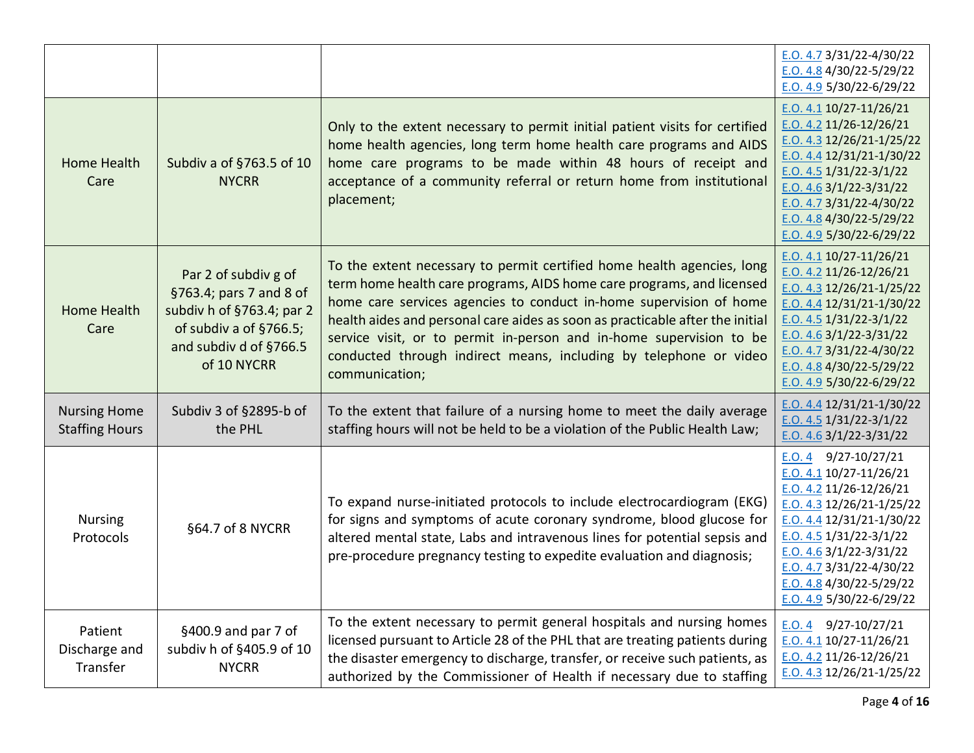|                                              |                                                                                                                                                 |                                                                                                                                                                                                                                                                                                                                                                                                                                                                      | $E.0.4.7$ 3/31/22-4/30/22<br>E.O. 4.8 $4/30/22 - 5/29/22$<br>E.O. 4.9 $5/30/22 - 6/29/22$                                                                                                                                                                                                        |
|----------------------------------------------|-------------------------------------------------------------------------------------------------------------------------------------------------|----------------------------------------------------------------------------------------------------------------------------------------------------------------------------------------------------------------------------------------------------------------------------------------------------------------------------------------------------------------------------------------------------------------------------------------------------------------------|--------------------------------------------------------------------------------------------------------------------------------------------------------------------------------------------------------------------------------------------------------------------------------------------------|
| Home Health<br>Care                          | Subdiv a of §763.5 of 10<br><b>NYCRR</b>                                                                                                        | Only to the extent necessary to permit initial patient visits for certified<br>home health agencies, long term home health care programs and AIDS<br>home care programs to be made within 48 hours of receipt and<br>acceptance of a community referral or return home from institutional<br>placement;                                                                                                                                                              | E.O. 4.1 10/27-11/26/21<br>$E. O. 4.2$ 11/26-12/26/21<br>$E.0.4.3$ 12/26/21-1/25/22<br>$E.0.4.4$ 12/31/21-1/30/22<br>E.O. 4.5 $1/31/22 - 3/1/22$<br>E.O. 4.6 $3/1/22 - 3/31/22$<br>E.O. 4.7 $3/31/22 - 4/30/22$<br>E.O. $4.84/30/22 - 5/29/22$<br>E.O. 4.9 5/30/22-6/29/22                       |
| <b>Home Health</b><br>Care                   | Par 2 of subdiv g of<br>§763.4; pars 7 and 8 of<br>subdiv h of §763.4; par 2<br>of subdiv a of §766.5;<br>and subdiv d of §766.5<br>of 10 NYCRR | To the extent necessary to permit certified home health agencies, long<br>term home health care programs, AIDS home care programs, and licensed<br>home care services agencies to conduct in-home supervision of home<br>health aides and personal care aides as soon as practicable after the initial<br>service visit, or to permit in-person and in-home supervision to be<br>conducted through indirect means, including by telephone or video<br>communication; | $E. O. 4.1 10/27 - 11/26/21$<br>$E. O. 4.2 11/26 - 12/26/21$<br>E.O. 4.3 $12/26/21 - 1/25/22$<br>E.O. 4.4 $12/31/21 - 1/30/22$<br>$E. O. 4.5$ 1/31/22-3/1/22<br>$E. O. 4.6$ 3/1/22-3/31/22<br>E.O. 4.7 3/31/22-4/30/22<br>E.O. 4.8 4/30/22-5/29/22<br>E.O. 4.9 5/30/22-6/29/22                   |
| <b>Nursing Home</b><br><b>Staffing Hours</b> | Subdiv 3 of §2895-b of<br>the PHL                                                                                                               | To the extent that failure of a nursing home to meet the daily average<br>staffing hours will not be held to be a violation of the Public Health Law;                                                                                                                                                                                                                                                                                                                | E.O. 4.4 $12/31/21 - 1/30/22$<br>E.O. $4.5$ 1/31/22-3/1/22<br>E.O. $4.6$ 3/1/22-3/31/22                                                                                                                                                                                                          |
| <b>Nursing</b><br>Protocols                  | §64.7 of 8 NYCRR                                                                                                                                | To expand nurse-initiated protocols to include electrocardiogram (EKG)<br>for signs and symptoms of acute coronary syndrome, blood glucose for<br>altered mental state, Labs and intravenous lines for potential sepsis and<br>pre-procedure pregnancy testing to expedite evaluation and diagnosis;                                                                                                                                                                 | 9/27-10/27/21<br>E.O. 4<br>$E. O. 4.1 10/27 - 11/26/21$<br>E.O. 4.2 11/26-12/26/21<br>E.O. 4.3 12/26/21-1/25/22<br>$E.0.4.4$ 12/31/21-1/30/22<br>$E. O. 4.5$ 1/31/22-3/1/22<br>$E.0.4.6$ 3/1/22-3/31/22<br>$E.0.4.7$ 3/31/22-4/30/22<br>E.O. 4.8 4/30/22-5/29/22<br>E.O. 4.9 $5/30/22 - 6/29/22$ |
| Patient<br>Discharge and<br>Transfer         | §400.9 and par 7 of<br>subdiv h of §405.9 of 10<br><b>NYCRR</b>                                                                                 | To the extent necessary to permit general hospitals and nursing homes<br>licensed pursuant to Article 28 of the PHL that are treating patients during<br>the disaster emergency to discharge, transfer, or receive such patients, as<br>authorized by the Commissioner of Health if necessary due to staffing                                                                                                                                                        | E.O. 4 $9/27-10/27/21$<br>$E. O. 4.1 10/27 - 11/26/21$<br>$E. O. 4.2$ 11/26-12/26/21<br>$E.0.4.3$ 12/26/21-1/25/22                                                                                                                                                                               |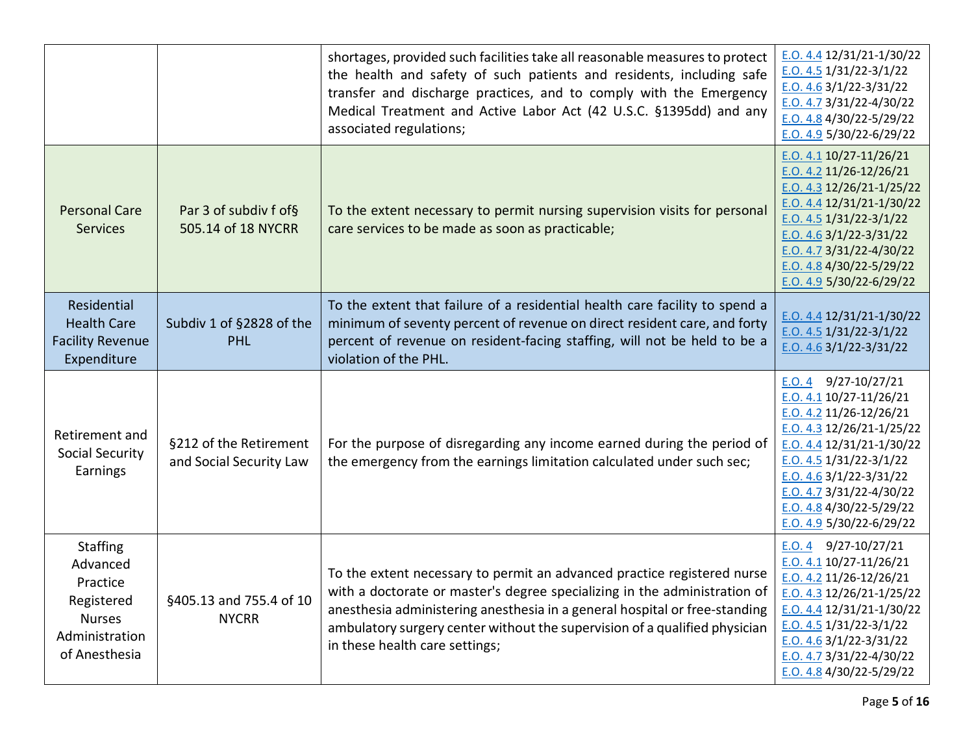|                                                                                                           |                                                   | shortages, provided such facilities take all reasonable measures to protect<br>the health and safety of such patients and residents, including safe<br>transfer and discharge practices, and to comply with the Emergency<br>Medical Treatment and Active Labor Act (42 U.S.C. §1395dd) and any<br>associated regulations;                         | E.O. 4.4 12/31/21-1/30/22<br>E.O. 4.5 $1/31/22 - 3/1/22$<br>E.O. 4.6 $3/1/22 - 3/31/22$<br>$E. O. 4.7 3/31/22 - 4/30/22$<br>E.O. 4.8 4/30/22-5/29/22<br>E.O. 4.9 $5/30/22 - 6/29/22$                                                                                                                 |
|-----------------------------------------------------------------------------------------------------------|---------------------------------------------------|----------------------------------------------------------------------------------------------------------------------------------------------------------------------------------------------------------------------------------------------------------------------------------------------------------------------------------------------------|------------------------------------------------------------------------------------------------------------------------------------------------------------------------------------------------------------------------------------------------------------------------------------------------------|
| <b>Personal Care</b><br><b>Services</b>                                                                   | Par 3 of subdiv f of§<br>505.14 of 18 NYCRR       | To the extent necessary to permit nursing supervision visits for personal<br>care services to be made as soon as practicable;                                                                                                                                                                                                                      | E.O. 4.1 10/27-11/26/21<br>E.O. 4.2 11/26-12/26/21<br>E.O. 4.3 12/26/21-1/25/22<br>E.O. 4.4 $12/31/21 - 1/30/22$<br>$E.0.4.5$ 1/31/22-3/1/22<br>E.O. 4.6 $3/1/22 - 3/31/22$<br>E.O. 4.7 $3/31/22 - 4/30/22$<br>E.O. $4.84/30/22 - 5/29/22$<br>E.O. 4.9 $5/30/22 - 6/29/22$                           |
| Residential<br><b>Health Care</b><br><b>Facility Revenue</b><br>Expenditure                               | Subdiv 1 of §2828 of the<br><b>PHL</b>            | To the extent that failure of a residential health care facility to spend a<br>minimum of seventy percent of revenue on direct resident care, and forty<br>percent of revenue on resident-facing staffing, will not be held to be a<br>violation of the PHL.                                                                                       | E.O. 4.4 12/31/21-1/30/22<br>E.O. 4.5 $1/31/22 - 3/1/22$<br>E.O. $4.63/1/22-3/31/22$                                                                                                                                                                                                                 |
| Retirement and<br><b>Social Security</b><br>Earnings                                                      | §212 of the Retirement<br>and Social Security Law | For the purpose of disregarding any income earned during the period of<br>the emergency from the earnings limitation calculated under such sec;                                                                                                                                                                                                    | E.O. 4 $9/27-10/27/21$<br>E.O. 4.1 10/27-11/26/21<br>E.O. 4.2 11/26-12/26/21<br>$E. O. 4.3 12/26/21-1/25/22$<br>E.O. 4.4 12/31/21-1/30/22<br>E.O. 4.5 $1/31/22 - 3/1/22$<br>E.O. 4.6 $3/1/22 - 3/31/22$<br>$E. O. 4.7 3/31/22 - 4/30/22$<br>E.O. 4.8 4/30/22-5/29/22<br>E.O. 4.9 $5/30/22 - 6/29/22$ |
| <b>Staffing</b><br>Advanced<br>Practice<br>Registered<br><b>Nurses</b><br>Administration<br>of Anesthesia | §405.13 and 755.4 of 10<br><b>NYCRR</b>           | To the extent necessary to permit an advanced practice registered nurse<br>with a doctorate or master's degree specializing in the administration of<br>anesthesia administering anesthesia in a general hospital or free-standing<br>ambulatory surgery center without the supervision of a qualified physician<br>in these health care settings; | E.O. 4 $9/27-10/27/21$<br>$E.0.4.1$ 10/27-11/26/21<br>E.O. 4.2 11/26-12/26/21<br>$E. O. 4.3$ 12/26/21-1/25/22<br>E.O. 4.4 12/31/21-1/30/22<br>E.O. 4.5 $1/31/22 - 3/1/22$<br>E.O. 4.6 $3/1/22 - 3/31/22$<br>$E. O. 4.7 3/31/22 - 4/30/22$<br>E.O. 4.8 $4/30/22 - 5/29/22$                            |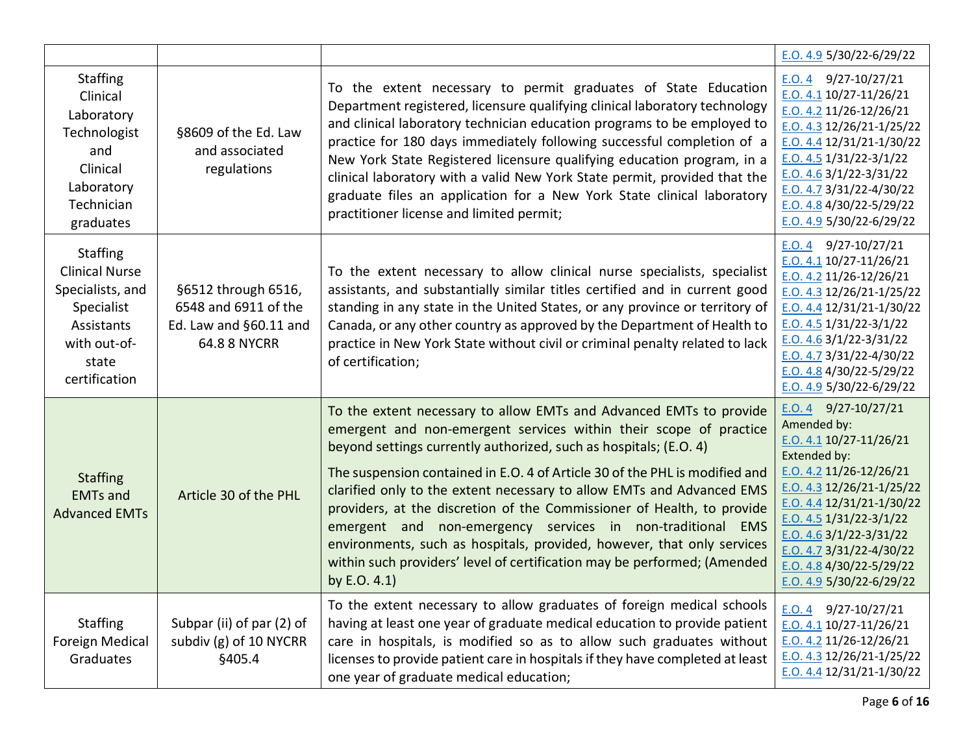|                                                                                                                                    |                                                                                              |                                                                                                                                                                                                                                                                                                                                                                                                                                                                                                                                                                                                                                                                                       | E.O. 4.9 5/30/22-6/29/22                                                                                                                                                                                                                                                                                                                        |
|------------------------------------------------------------------------------------------------------------------------------------|----------------------------------------------------------------------------------------------|---------------------------------------------------------------------------------------------------------------------------------------------------------------------------------------------------------------------------------------------------------------------------------------------------------------------------------------------------------------------------------------------------------------------------------------------------------------------------------------------------------------------------------------------------------------------------------------------------------------------------------------------------------------------------------------|-------------------------------------------------------------------------------------------------------------------------------------------------------------------------------------------------------------------------------------------------------------------------------------------------------------------------------------------------|
| <b>Staffing</b><br>Clinical<br>Laboratory<br>Technologist<br>and<br>Clinical<br>Laboratory<br>Technician<br>graduates              | §8609 of the Ed. Law<br>and associated<br>regulations                                        | To the extent necessary to permit graduates of State Education<br>Department registered, licensure qualifying clinical laboratory technology<br>and clinical laboratory technician education programs to be employed to<br>practice for 180 days immediately following successful completion of a<br>New York State Registered licensure qualifying education program, in a<br>clinical laboratory with a valid New York State permit, provided that the<br>graduate files an application for a New York State clinical laboratory<br>practitioner license and limited permit;                                                                                                        | E.O. 4 $9/27-10/27/21$<br>$E.0.4.1$ 10/27-11/26/21<br>$E.0.4.2$ 11/26-12/26/21<br>E.O. 4.3 12/26/21-1/25/22<br>$E. O. 4.4$ 12/31/21-1/30/22<br>$E.0.4.5$ 1/31/22-3/1/22<br>E.O. 4.6 $3/1/22 - 3/31/22$<br>E.O. 4.7 $3/31/22 - 4/30/22$<br>E.O. 4.8 4/30/22-5/29/22<br>E.O. 4.9 5/30/22-6/29/22                                                  |
| <b>Staffing</b><br><b>Clinical Nurse</b><br>Specialists, and<br>Specialist<br>Assistants<br>with out-of-<br>state<br>certification | §6512 through 6516,<br>6548 and 6911 of the<br>Ed. Law and §60.11 and<br><b>64.8 8 NYCRR</b> | To the extent necessary to allow clinical nurse specialists, specialist<br>assistants, and substantially similar titles certified and in current good<br>standing in any state in the United States, or any province or territory of<br>Canada, or any other country as approved by the Department of Health to<br>practice in New York State without civil or criminal penalty related to lack<br>of certification;                                                                                                                                                                                                                                                                  | E.O. 4 $9/27-10/27/21$<br>$E.0.4.1$ 10/27-11/26/21<br>$E.0.4.2$ 11/26-12/26/21<br>$E. O. 4.3$ 12/26/21-1/25/22<br>E.O. 4.4 $12/31/21 - 1/30/22$<br>E.O. $4.5 \frac{1}{31}/22 - \frac{3}{1}/22$<br>$E.0.4.6$ 3/1/22-3/31/22<br>$E. O. 4.7 3/31/22 - 4/30/22$<br>E.O. 4.8 4/30/22-5/29/22<br>E.O. 4.9 5/30/22-6/29/22                             |
| <b>Staffing</b><br><b>EMTs and</b><br><b>Advanced EMTs</b>                                                                         | Article 30 of the PHL                                                                        | To the extent necessary to allow EMTs and Advanced EMTs to provide<br>emergent and non-emergent services within their scope of practice<br>beyond settings currently authorized, such as hospitals; (E.O. 4)<br>The suspension contained in E.O. 4 of Article 30 of the PHL is modified and<br>clarified only to the extent necessary to allow EMTs and Advanced EMS<br>providers, at the discretion of the Commissioner of Health, to provide<br>emergent and non-emergency services in non-traditional EMS<br>environments, such as hospitals, provided, however, that only services<br>within such providers' level of certification may be performed; (Amended<br>by $E.O. 4.1$ ) | E.O. 4 $9/27-10/27/21$<br>Amended by:<br>$E. O. 4.1 10/27 - 11/26/21$<br>Extended by:<br>$E. O. 4.2 11/26 - 12/26/21$<br>$E. O. 4.3$ 12/26/21-1/25/22<br>$E. O. 4.4$ 12/31/21-1/30/22<br>E.O. 4.5 $1/31/22 - 3/1/22$<br>E.O. 4.6 $3/1/22 - 3/31/22$<br>E.O. 4.7 3/31/22-4/30/22<br>E.O. 4.8 $4/30/22 - 5/29/22$<br>E.O. 4.9 $5/30/22 - 6/29/22$ |
| <b>Staffing</b><br><b>Foreign Medical</b><br>Graduates                                                                             | Subpar (ii) of par (2) of<br>subdiv (g) of 10 NYCRR<br>§405.4                                | To the extent necessary to allow graduates of foreign medical schools<br>having at least one year of graduate medical education to provide patient<br>care in hospitals, is modified so as to allow such graduates without<br>licenses to provide patient care in hospitals if they have completed at least<br>one year of graduate medical education;                                                                                                                                                                                                                                                                                                                                | E.O. 4 $9/27-10/27/21$<br>E.O. 4.1 10/27-11/26/21<br>$E.0.4.2$ 11/26-12/26/21<br>$E. O. 4.3$ 12/26/21-1/25/22<br>$E. O. 4.4$ 12/31/21-1/30/22                                                                                                                                                                                                   |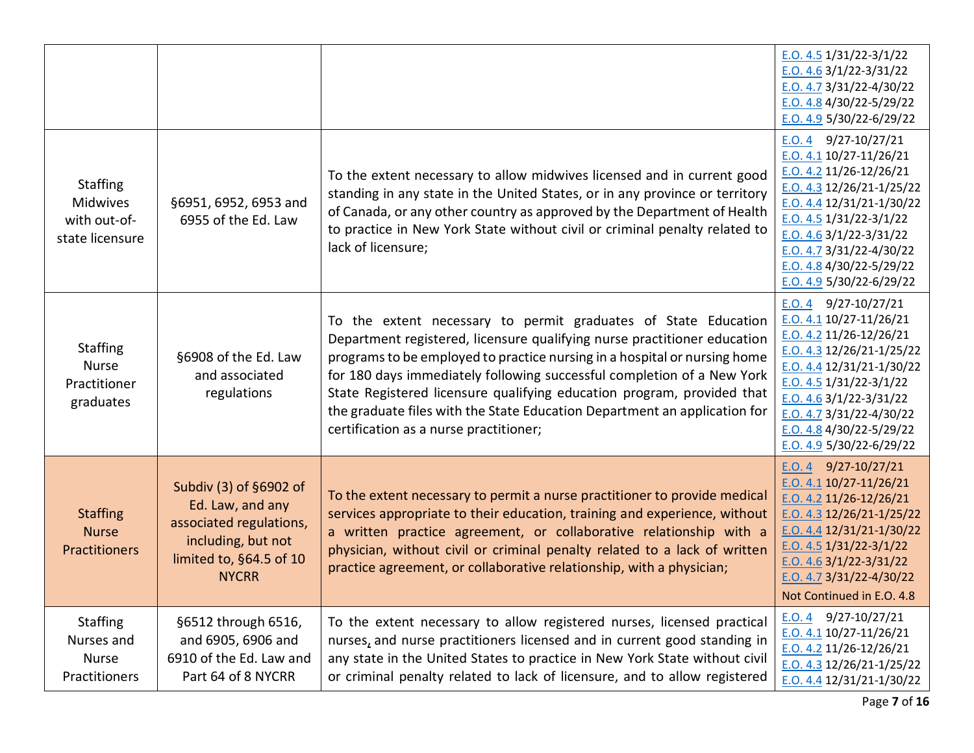|                                                                       |                                                                                                                                        |                                                                                                                                                                                                                                                                                                                                                                                                                                                                                                    | $E. O. 4.5 1/31/22 - 3/1/22$<br>$E. O. 4.6$ 3/1/22-3/31/22<br>E.O. 4.7 3/31/22-4/30/22<br>E.O. 4.8 $4/30/22 - 5/29/22$<br>E.O. 4.9 5/30/22-6/29/22                                                                                                                                                    |
|-----------------------------------------------------------------------|----------------------------------------------------------------------------------------------------------------------------------------|----------------------------------------------------------------------------------------------------------------------------------------------------------------------------------------------------------------------------------------------------------------------------------------------------------------------------------------------------------------------------------------------------------------------------------------------------------------------------------------------------|-------------------------------------------------------------------------------------------------------------------------------------------------------------------------------------------------------------------------------------------------------------------------------------------------------|
| <b>Staffing</b><br><b>Midwives</b><br>with out-of-<br>state licensure | §6951, 6952, 6953 and<br>6955 of the Ed. Law                                                                                           | To the extent necessary to allow midwives licensed and in current good<br>standing in any state in the United States, or in any province or territory<br>of Canada, or any other country as approved by the Department of Health<br>to practice in New York State without civil or criminal penalty related to<br>lack of licensure;                                                                                                                                                               | $E.0.4$ 9/27-10/27/21<br>$E. O. 4.1 10/27 - 11/26/21$<br>E.O. 4.2 11/26-12/26/21<br>E.O. 4.3 12/26/21-1/25/22<br>$E.0.4.4$ 12/31/21-1/30/22<br>$E. O. 4.5 1/31/22 - 3/1/22$<br>E.O. $4.63/1/22-3/31/22$<br>$E.0.4.73/3/22-4/30/22$<br>E.O. 4.8 $4/30/22 - 5/29/22$<br>E.O. 4.9 $5/30/22 - 6/29/22$    |
| <b>Staffing</b><br><b>Nurse</b><br>Practitioner<br>graduates          | §6908 of the Ed. Law<br>and associated<br>regulations                                                                                  | To the extent necessary to permit graduates of State Education<br>Department registered, licensure qualifying nurse practitioner education<br>programs to be employed to practice nursing in a hospital or nursing home<br>for 180 days immediately following successful completion of a New York<br>State Registered licensure qualifying education program, provided that<br>the graduate files with the State Education Department an application for<br>certification as a nurse practitioner; | E.O. 4 $9/27-10/27/21$<br>$E. O. 4.1 10/27 - 11/26/21$<br>E.O. 4.2 11/26-12/26/21<br>$E.0.4.3$ 12/26/21-1/25/22<br>E.O. 4.4 12/31/21-1/30/22<br>E.O. 4.5 $1/31/22-3/1/22$<br>$E. O. 4.6$ 3/1/22-3/31/22<br>$E.0.4.73/3/22-4/30/22$<br>E.O. $4.8\frac{4}{30}/22 - 5/29/22$<br>E.O. 4.9 5/30/22-6/29/22 |
| <b>Staffing</b><br><b>Nurse</b><br><b>Practitioners</b>               | Subdiv (3) of §6902 of<br>Ed. Law, and any<br>associated regulations,<br>including, but not<br>limited to, §64.5 of 10<br><b>NYCRR</b> | To the extent necessary to permit a nurse practitioner to provide medical<br>services appropriate to their education, training and experience, without<br>a written practice agreement, or collaborative relationship with a<br>physician, without civil or criminal penalty related to a lack of written<br>practice agreement, or collaborative relationship, with a physician;                                                                                                                  | $E.0.4$ 9/27-10/27/21<br>$E. O. 4.1 10/27 - 11/26/21$<br>$E. O. 4.2 11/26 - 12/26/21$<br>E.O. 4.3 12/26/21-1/25/22<br>E.O. 4.4 $12/31/21 - 1/30/22$<br>$E. O. 4.5$ 1/31/22-3/1/22<br>E.O. 4.6 $3/1/22 - 3/31/22$<br>E.O. 4.7 3/31/22-4/30/22<br>Not Continued in E.O. 4.8                             |
| <b>Staffing</b><br>Nurses and<br><b>Nurse</b><br>Practitioners        | §6512 through 6516,<br>and 6905, 6906 and<br>6910 of the Ed. Law and<br>Part 64 of 8 NYCRR                                             | To the extent necessary to allow registered nurses, licensed practical<br>nurses, and nurse practitioners licensed and in current good standing in<br>any state in the United States to practice in New York State without civil<br>or criminal penalty related to lack of licensure, and to allow registered                                                                                                                                                                                      | 9/27-10/27/21<br>E.O. 4<br>E.O. 4.1 10/27-11/26/21<br>$E. O. 4.2$ 11/26-12/26/21<br>$E.0.4.3$ 12/26/21-1/25/22<br>E.O. 4.4 12/31/21-1/30/22                                                                                                                                                           |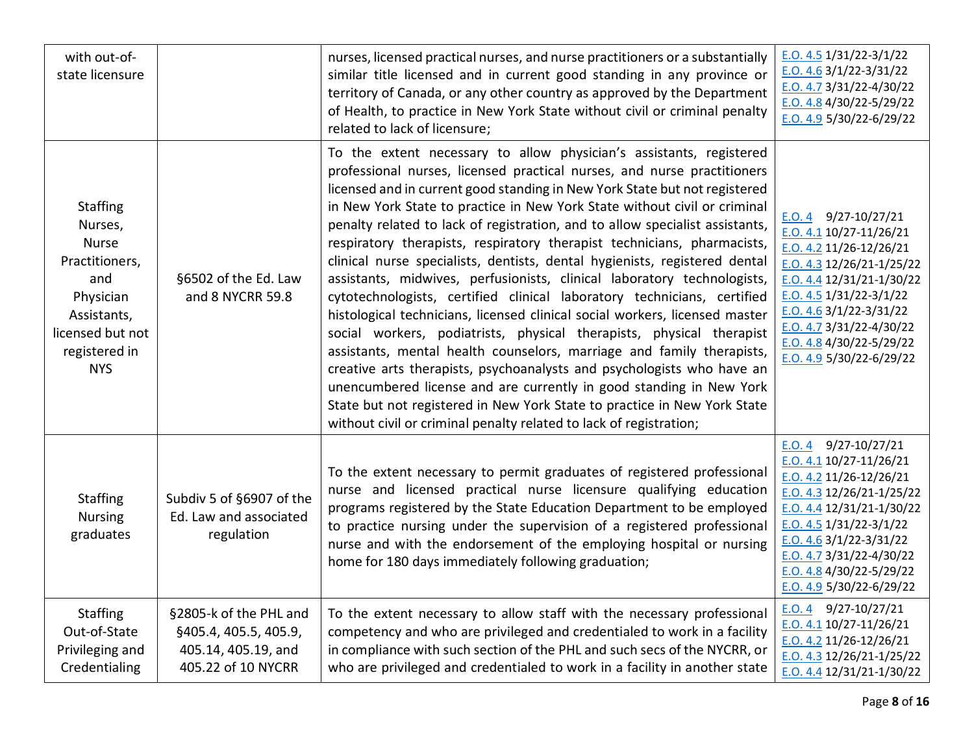| with out-of-<br>state licensure                                                                                                                    |                                                                                              | nurses, licensed practical nurses, and nurse practitioners or a substantially<br>similar title licensed and in current good standing in any province or<br>territory of Canada, or any other country as approved by the Department<br>of Health, to practice in New York State without civil or criminal penalty<br>related to lack of licensure;                                                                                                                                                                                                                                                                                                                                                                                                                                                                                                                                                                                                                                                                                                                                                                                                                                                                                           | $E. O. 4.5$ 1/31/22-3/1/22<br>$E. O. 4.6$ 3/1/22-3/31/22<br>$E.0.4.73/3/22-4/30/22$<br>E.O. 4.8 $4/30/22 - 5/29/22$<br>$E. O. 4.9$ 5/30/22-6/29/22                                                                                                                                                      |
|----------------------------------------------------------------------------------------------------------------------------------------------------|----------------------------------------------------------------------------------------------|---------------------------------------------------------------------------------------------------------------------------------------------------------------------------------------------------------------------------------------------------------------------------------------------------------------------------------------------------------------------------------------------------------------------------------------------------------------------------------------------------------------------------------------------------------------------------------------------------------------------------------------------------------------------------------------------------------------------------------------------------------------------------------------------------------------------------------------------------------------------------------------------------------------------------------------------------------------------------------------------------------------------------------------------------------------------------------------------------------------------------------------------------------------------------------------------------------------------------------------------|---------------------------------------------------------------------------------------------------------------------------------------------------------------------------------------------------------------------------------------------------------------------------------------------------------|
| <b>Staffing</b><br>Nurses,<br><b>Nurse</b><br>Practitioners,<br>and<br>Physician<br>Assistants,<br>licensed but not<br>registered in<br><b>NYS</b> | §6502 of the Ed. Law<br>and 8 NYCRR 59.8                                                     | To the extent necessary to allow physician's assistants, registered<br>professional nurses, licensed practical nurses, and nurse practitioners<br>licensed and in current good standing in New York State but not registered<br>in New York State to practice in New York State without civil or criminal<br>penalty related to lack of registration, and to allow specialist assistants,<br>respiratory therapists, respiratory therapist technicians, pharmacists,<br>clinical nurse specialists, dentists, dental hygienists, registered dental<br>assistants, midwives, perfusionists, clinical laboratory technologists,<br>cytotechnologists, certified clinical laboratory technicians, certified<br>histological technicians, licensed clinical social workers, licensed master<br>social workers, podiatrists, physical therapists, physical therapist<br>assistants, mental health counselors, marriage and family therapists,<br>creative arts therapists, psychoanalysts and psychologists who have an<br>unencumbered license and are currently in good standing in New York<br>State but not registered in New York State to practice in New York State<br>without civil or criminal penalty related to lack of registration; | $E.0.4$ 9/27-10/27/21<br>E.O. 4.1 10/27-11/26/21<br>E.O. 4.2 11/26-12/26/21<br>$E.0.4.3$ 12/26/21-1/25/22<br>E.O. 4.4 12/31/21-1/30/22<br>$E. O. 4.5$ 1/31/22-3/1/22<br>E.O. $4.63/1/22-3/31/22$<br>$E.0.4.73/3/22-4/30/22$<br>E.O. 4.8 $4/30/22 - 5/29/22$<br>E.O. 4.9 5/30/22-6/29/22                 |
| <b>Staffing</b><br><b>Nursing</b><br>graduates                                                                                                     | Subdiv 5 of §6907 of the<br>Ed. Law and associated<br>regulation                             | To the extent necessary to permit graduates of registered professional<br>nurse and licensed practical nurse licensure qualifying education<br>programs registered by the State Education Department to be employed<br>to practice nursing under the supervision of a registered professional<br>nurse and with the endorsement of the employing hospital or nursing<br>home for 180 days immediately following graduation;                                                                                                                                                                                                                                                                                                                                                                                                                                                                                                                                                                                                                                                                                                                                                                                                                 | E.O. 4 $9/27-10/27/21$<br>$E. O. 4.1 10/27 - 11/26/21$<br>$E. O. 4.2$ 11/26-12/26/21<br>$E.0.4.3$ 12/26/21-1/25/22<br>$E.0.4.4$ 12/31/21-1/30/22<br>$E. O. 4.5$ 1/31/22-3/1/22<br>$E. O. 4.6$ 3/1/22-3/31/22<br>$E.0.4.73/3/22-4/30/22$<br>E.O. 4.8 $4/30/22 - 5/29/22$<br>E.O. 4.9 $5/30/22 - 6/29/22$ |
| <b>Staffing</b><br>Out-of-State<br>Privileging and<br>Credentialing                                                                                | §2805-k of the PHL and<br>§405.4, 405.5, 405.9,<br>405.14, 405.19, and<br>405.22 of 10 NYCRR | To the extent necessary to allow staff with the necessary professional<br>competency and who are privileged and credentialed to work in a facility<br>in compliance with such section of the PHL and such secs of the NYCRR, or<br>who are privileged and credentialed to work in a facility in another state                                                                                                                                                                                                                                                                                                                                                                                                                                                                                                                                                                                                                                                                                                                                                                                                                                                                                                                               | $E.0.4$ 9/27-10/27/21<br>$E. O. 4.1 10/27 - 11/26/21$<br>E.O. 4.2 11/26-12/26/21<br>E.O. 4.3 12/26/21-1/25/22<br>$E.0.4.4$ 12/31/21-1/30/22                                                                                                                                                             |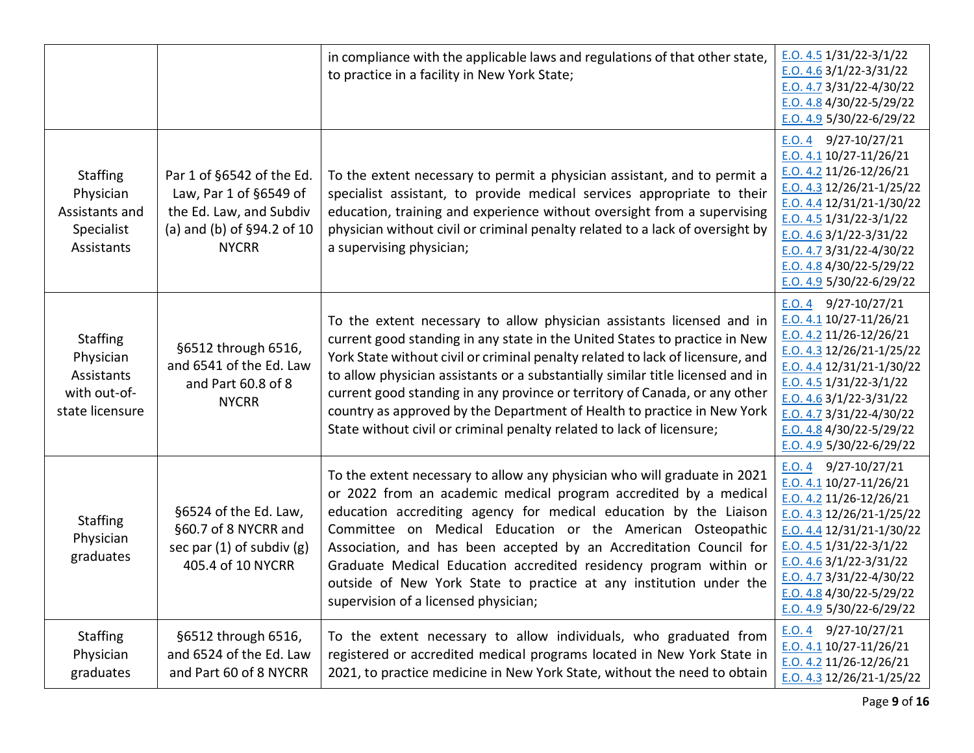|                                                                               |                                                                                                                              | in compliance with the applicable laws and regulations of that other state,<br>to practice in a facility in New York State;                                                                                                                                                                                                                                                                                                                                                                                                                               | E.O. 4.5 $1/31/22 - 3/1/22$<br>$E. O. 4.6$ 3/1/22-3/31/22<br>$E. O. 4.7 3/31/22 - 4/30/22$<br>E.O. 4.8 $4/30/22 - 5/29/22$<br>E.O. 4.9 5/30/22-6/29/22                                                                                                                                                        |
|-------------------------------------------------------------------------------|------------------------------------------------------------------------------------------------------------------------------|-----------------------------------------------------------------------------------------------------------------------------------------------------------------------------------------------------------------------------------------------------------------------------------------------------------------------------------------------------------------------------------------------------------------------------------------------------------------------------------------------------------------------------------------------------------|---------------------------------------------------------------------------------------------------------------------------------------------------------------------------------------------------------------------------------------------------------------------------------------------------------------|
| <b>Staffing</b><br>Physician<br>Assistants and<br>Specialist<br>Assistants    | Par 1 of §6542 of the Ed.<br>Law, Par 1 of §6549 of<br>the Ed. Law, and Subdiv<br>(a) and (b) of §94.2 of 10<br><b>NYCRR</b> | To the extent necessary to permit a physician assistant, and to permit a<br>specialist assistant, to provide medical services appropriate to their<br>education, training and experience without oversight from a supervising<br>physician without civil or criminal penalty related to a lack of oversight by<br>a supervising physician;                                                                                                                                                                                                                | E.O. 4 $9/27-10/27/21$<br>$E.0.4.1$ 10/27-11/26/21<br>E.O. 4.2 11/26-12/26/21<br>E.O. 4.3 12/26/21-1/25/22<br>E.O. 4.4 $12/31/21 - 1/30/22$<br>$E.0.4.5$ 1/31/22-3/1/22<br>E.O. 4.6 $3/1/22 - 3/31/22$<br>E.O. 4.7 $3/31/22 - 4/30/22$<br>E.O. $4.8\frac{4}{30}/22 - 5/29/22$<br>E.O. 4.9 $5/30/22 - 6/29/22$ |
| <b>Staffing</b><br>Physician<br>Assistants<br>with out-of-<br>state licensure | §6512 through 6516,<br>and 6541 of the Ed. Law<br>and Part 60.8 of 8<br><b>NYCRR</b>                                         | To the extent necessary to allow physician assistants licensed and in<br>current good standing in any state in the United States to practice in New<br>York State without civil or criminal penalty related to lack of licensure, and<br>to allow physician assistants or a substantially similar title licensed and in<br>current good standing in any province or territory of Canada, or any other<br>country as approved by the Department of Health to practice in New York<br>State without civil or criminal penalty related to lack of licensure; | E.O. 4 $9/27-10/27/21$<br>$E.0.4.1$ 10/27-11/26/21<br>E.O. 4.2 11/26-12/26/21<br>E.O. 4.3 12/26/21-1/25/22<br>E.O. 4.4 12/31/21-1/30/22<br>E.O. 4.5 $1/31/22 - 3/1/22$<br>E.O. 4.6 $3/1/22 - 3/31/22$<br>$E. O. 4.7 3/31/22 - 4/30/22$<br>E.O. $4.8\frac{4}{30}/22 - 5/29/22$<br>E.O. 4.9 5/30/22-6/29/22     |
| <b>Staffing</b><br>Physician<br>graduates                                     | §6524 of the Ed. Law,<br>§60.7 of 8 NYCRR and<br>sec par $(1)$ of subdiv $(g)$<br>405.4 of 10 NYCRR                          | To the extent necessary to allow any physician who will graduate in 2021<br>or 2022 from an academic medical program accredited by a medical<br>education accrediting agency for medical education by the Liaison<br>Committee on Medical Education or the American Osteopathic<br>Association, and has been accepted by an Accreditation Council for<br>Graduate Medical Education accredited residency program within or<br>outside of New York State to practice at any institution under the<br>supervision of a licensed physician;                  | E.O. 4 $9/27-10/27/21$<br>E.O. 4.1 10/27-11/26/21<br>$E.0.4.2$ 11/26-12/26/21<br>E.O. 4.3 12/26/21-1/25/22<br>E.O. 4.4 12/31/21-1/30/22<br>$E. O. 4.5$ 1/31/22-3/1/22<br>E.O. 4.6 $3/1/22 - 3/31/22$<br>$E.0.4.7$ 3/31/22-4/30/22<br>E.O. 4.8 4/30/22-5/29/22<br>E.O. 4.9 5/30/22-6/29/22                     |
| <b>Staffing</b><br>Physician<br>graduates                                     | §6512 through 6516,<br>and 6524 of the Ed. Law<br>and Part 60 of 8 NYCRR                                                     | To the extent necessary to allow individuals, who graduated from<br>registered or accredited medical programs located in New York State in<br>2021, to practice medicine in New York State, without the need to obtain                                                                                                                                                                                                                                                                                                                                    | E.O. 4 $9/27-10/27/21$<br>$E.0.4.1$ 10/27-11/26/21<br>$E.0.4.2$ 11/26-12/26/21<br>$E.0.4.3$ 12/26/21-1/25/22                                                                                                                                                                                                  |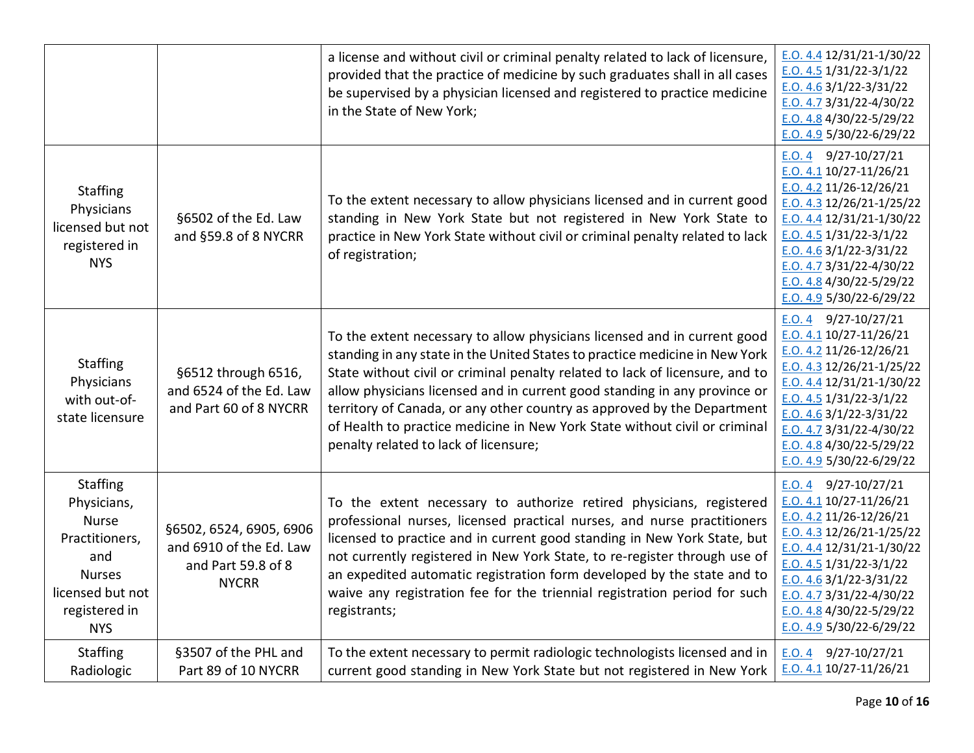|                                                                                                                                             |                                                                                          | a license and without civil or criminal penalty related to lack of licensure,<br>provided that the practice of medicine by such graduates shall in all cases<br>be supervised by a physician licensed and registered to practice medicine<br>in the State of New York;                                                                                                                                                                                                                                                 | E.O. 4.4 12/31/21-1/30/22<br>E.O. $4.5 \frac{1}{31}/22 - \frac{3}{1}/22$<br>$E. O. 4.6$ 3/1/22-3/31/22<br>$E. O. 4.7$ 3/31/22-4/30/22<br>E.O. 4.8 $4/30/22 - 5/29/22$<br>E.O. 4.9 $5/30/22 - 6/29/22$                                                                                                 |
|---------------------------------------------------------------------------------------------------------------------------------------------|------------------------------------------------------------------------------------------|------------------------------------------------------------------------------------------------------------------------------------------------------------------------------------------------------------------------------------------------------------------------------------------------------------------------------------------------------------------------------------------------------------------------------------------------------------------------------------------------------------------------|-------------------------------------------------------------------------------------------------------------------------------------------------------------------------------------------------------------------------------------------------------------------------------------------------------|
| <b>Staffing</b><br>Physicians<br>licensed but not<br>registered in<br><b>NYS</b>                                                            | §6502 of the Ed. Law<br>and §59.8 of 8 NYCRR                                             | To the extent necessary to allow physicians licensed and in current good<br>standing in New York State but not registered in New York State to<br>practice in New York State without civil or criminal penalty related to lack<br>of registration;                                                                                                                                                                                                                                                                     | E.O. 4 $9/27-10/27/21$<br>E.O. 4.1 10/27-11/26/21<br>E.O. 4.2 11/26-12/26/21<br>E.O. 4.3 12/26/21-1/25/22<br>$E. O. 4.4 12/31/21-1/30/22$<br>E.O. 4.5 $1/31/22 - 3/1/22$<br>E.O. 4.6 $3/1/22 - 3/31/22$<br>$E.0.4.7$ 3/31/22-4/30/22<br>E.O. 4.8 $4/30/22 - 5/29/22$<br>$E. O. 4.9$ 5/30/22-6/29/22   |
| <b>Staffing</b><br>Physicians<br>with out-of-<br>state licensure                                                                            | §6512 through 6516,<br>and 6524 of the Ed. Law<br>and Part 60 of 8 NYCRR                 | To the extent necessary to allow physicians licensed and in current good<br>standing in any state in the United States to practice medicine in New York<br>State without civil or criminal penalty related to lack of licensure, and to<br>allow physicians licensed and in current good standing in any province or<br>territory of Canada, or any other country as approved by the Department<br>of Health to practice medicine in New York State without civil or criminal<br>penalty related to lack of licensure; | $E.0.4$ 9/27-10/27/21<br>E.O. 4.1 10/27-11/26/21<br>$E. O. 4.2 11/26 - 12/26/21$<br>E.O. 4.3 12/26/21-1/25/22<br>E.O. 4.4 12/31/21-1/30/22<br>E.O. 4.5 $1/31/22 - 3/1/22$<br>E.O. 4.6 $3/1/22 - 3/31/22$<br>$E.0.4.7$ 3/31/22-4/30/22<br>E.O. 4.8 4/30/22-5/29/22<br>$E. O. 4.9$ 5/30/22-6/29/22      |
| <b>Staffing</b><br>Physicians,<br><b>Nurse</b><br>Practitioners,<br>and<br><b>Nurses</b><br>licensed but not<br>registered in<br><b>NYS</b> | §6502, 6524, 6905, 6906<br>and 6910 of the Ed. Law<br>and Part 59.8 of 8<br><b>NYCRR</b> | To the extent necessary to authorize retired physicians, registered<br>professional nurses, licensed practical nurses, and nurse practitioners<br>licensed to practice and in current good standing in New York State, but<br>not currently registered in New York State, to re-register through use of<br>an expedited automatic registration form developed by the state and to<br>waive any registration fee for the triennial registration period for such<br>registrants;                                         | E.O. 4 $9/27-10/27/21$<br>E.O. 4.1 10/27-11/26/21<br>$E. O. 4.2 11/26 - 12/26/21$<br>$E.0.4.3$ 12/26/21-1/25/22<br>$E. O. 4.4 12/31/21-1/30/22$<br>$E. O. 4.5 1/31/22 - 3/1/22$<br>E.O. 4.6 $3/1/22 - 3/31/22$<br>E.O. 4.7 3/31/22-4/30/22<br>E.O. 4.8 4/30/22-5/29/22<br>$E. O. 4.9$ 5/30/22-6/29/22 |
| <b>Staffing</b><br>Radiologic                                                                                                               | §3507 of the PHL and<br>Part 89 of 10 NYCRR                                              | To the extent necessary to permit radiologic technologists licensed and in<br>current good standing in New York State but not registered in New York                                                                                                                                                                                                                                                                                                                                                                   | E.O. 4 $9/27-10/27/21$<br>$E.0.4.1$ 10/27-11/26/21                                                                                                                                                                                                                                                    |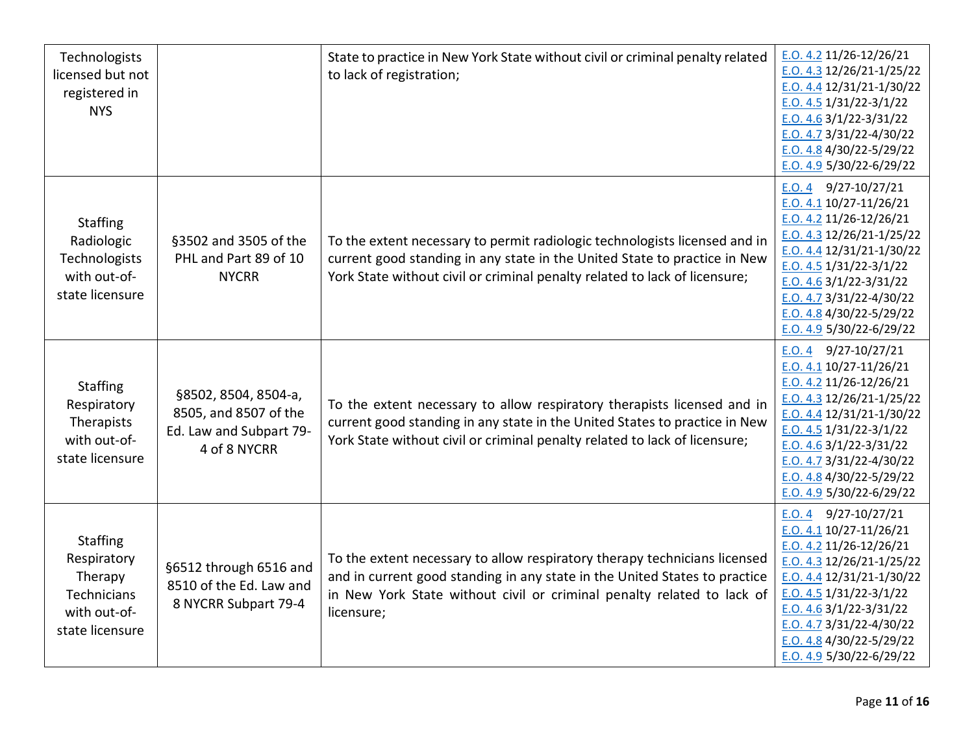| Technologists<br>licensed but not<br>registered in<br><b>NYS</b>                            |                                                                                          | State to practice in New York State without civil or criminal penalty related<br>to lack of registration;                                                                                                                                       | E.O. 4.2 11/26-12/26/21<br>$E.0.4.3$ 12/26/21-1/25/22<br>$E.0.4.4$ 12/31/21-1/30/22<br>$E. O. 4.5 1/31/22 - 3/1/22$<br>E.O. $4.63/1/22-3/31/22$<br>E.O. 4.7 3/31/22-4/30/22<br>E.O. 4.8 $4/30/22 - 5/29/22$<br>E.O. 4.9 5/30/22-6/29/22                                                        |
|---------------------------------------------------------------------------------------------|------------------------------------------------------------------------------------------|-------------------------------------------------------------------------------------------------------------------------------------------------------------------------------------------------------------------------------------------------|------------------------------------------------------------------------------------------------------------------------------------------------------------------------------------------------------------------------------------------------------------------------------------------------|
| <b>Staffing</b><br>Radiologic<br>Technologists<br>with out-of-<br>state licensure           | §3502 and 3505 of the<br>PHL and Part 89 of 10<br><b>NYCRR</b>                           | To the extent necessary to permit radiologic technologists licensed and in<br>current good standing in any state in the United State to practice in New<br>York State without civil or criminal penalty related to lack of licensure;           | E.O. 4 $9/27-10/27/21$<br>E.O. 4.1 10/27-11/26/21<br>$E.0.4.2$ 11/26-12/26/21<br>E.O. 4.3 12/26/21-1/25/22<br>$E.0.4.4$ 12/31/21-1/30/22<br>$E. O. 4.5 1/31/22 - 3/1/22$<br>$E. O. 4.6$ 3/1/22-3/31/22<br>E.O. 4.7 3/31/22-4/30/22<br>E.O. 4.8 4/30/22-5/29/22<br>E.O. 4.9 $5/30/22 - 6/29/22$ |
| <b>Staffing</b><br>Respiratory<br>Therapists<br>with out-of-<br>state licensure             | §8502, 8504, 8504-a,<br>8505, and 8507 of the<br>Ed. Law and Subpart 79-<br>4 of 8 NYCRR | To the extent necessary to allow respiratory therapists licensed and in<br>current good standing in any state in the United States to practice in New<br>York State without civil or criminal penalty related to lack of licensure;             | E.O. 4 $9/27-10/27/21$<br>E.O. 4.1 10/27-11/26/21<br>E.O. 4.2 11/26-12/26/21<br>$E.0.4.3$ 12/26/21-1/25/22<br>$E.0.4.4$ 12/31/21-1/30/22<br>$E. O. 4.5 1/31/22 - 3/1/22$<br>E.O. $4.63/1/22-3/31/22$<br>$E.0.4.7$ 3/31/22-4/30/22<br>E.O. 4.8 4/30/22-5/29/22<br>E.O. 4.9 $5/30/22 - 6/29/22$  |
| <b>Staffing</b><br>Respiratory<br>Therapy<br>Technicians<br>with out-of-<br>state licensure | §6512 through 6516 and<br>8510 of the Ed. Law and<br>8 NYCRR Subpart 79-4                | To the extent necessary to allow respiratory therapy technicians licensed<br>and in current good standing in any state in the United States to practice<br>in New York State without civil or criminal penalty related to lack of<br>licensure; | E.O. 4 $9/27-10/27/21$<br>E.O. 4.1 10/27-11/26/21<br>E.O. 4.2 11/26-12/26/21<br>E.O. 4.3 12/26/21-1/25/22<br>E.O. 4.4 12/31/21-1/30/22<br>$E. O. 4.5$ 1/31/22-3/1/22<br>$E. O. 4.6$ 3/1/22-3/31/22<br>$E.0.4.73/3/22-4/30/22$<br>E.O. 4.8 4/30/22-5/29/22<br>E.O. 4.9 $5/30/22 - 6/29/22$      |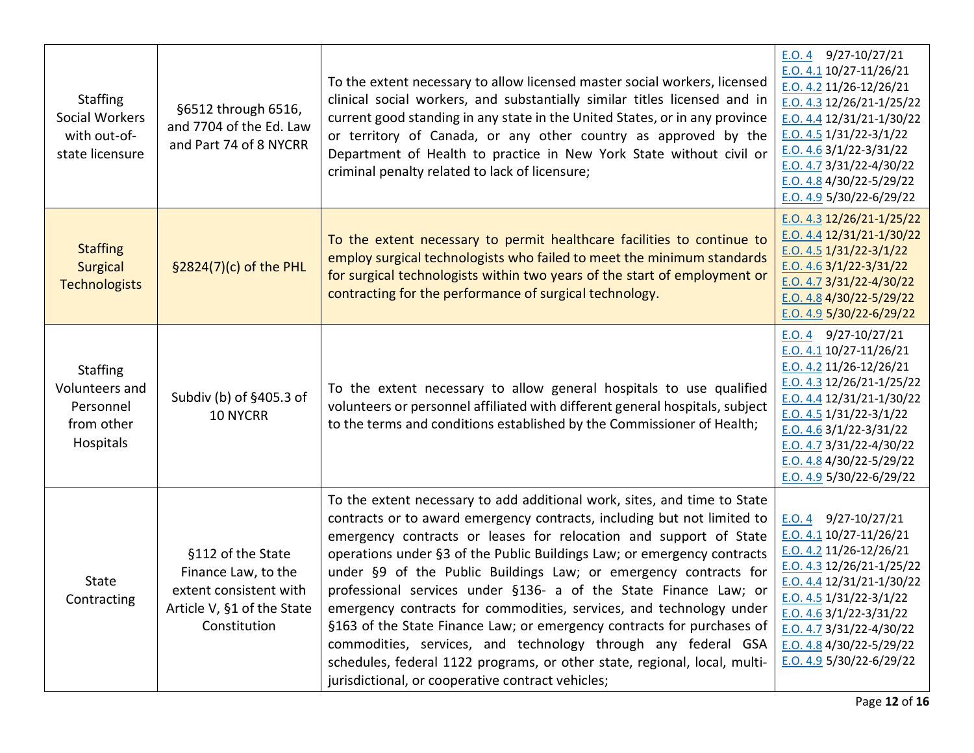| <b>Staffing</b><br>Social Workers<br>with out-of-<br>state licensure      | §6512 through 6516,<br>and 7704 of the Ed. Law<br>and Part 74 of 8 NYCRR                                         | To the extent necessary to allow licensed master social workers, licensed<br>clinical social workers, and substantially similar titles licensed and in<br>current good standing in any state in the United States, or in any province<br>or territory of Canada, or any other country as approved by the<br>Department of Health to practice in New York State without civil or<br>criminal penalty related to lack of licensure;                                                                                                                                                                                                                                                                                                                                                               | E.O. 4 $9/27-10/27/21$<br>$E.0.4.1$ 10/27-11/26/21<br>$E.0.4.2$ 11/26-12/26/21<br>$E.0.4.3$ 12/26/21-1/25/22<br>E.O. 4.4 $12/31/21 - 1/30/22$<br>E.O. 4.5 $1/31/22 - 3/1/22$<br>$E.0.4.6$ 3/1/22-3/31/22<br>$E. O. 4.7$ 3/31/22-4/30/22<br>E.O. 4.8 4/30/22-5/29/22<br>E.O. 4.9 5/30/22-6/29/22      |
|---------------------------------------------------------------------------|------------------------------------------------------------------------------------------------------------------|-------------------------------------------------------------------------------------------------------------------------------------------------------------------------------------------------------------------------------------------------------------------------------------------------------------------------------------------------------------------------------------------------------------------------------------------------------------------------------------------------------------------------------------------------------------------------------------------------------------------------------------------------------------------------------------------------------------------------------------------------------------------------------------------------|------------------------------------------------------------------------------------------------------------------------------------------------------------------------------------------------------------------------------------------------------------------------------------------------------|
| <b>Staffing</b><br><b>Surgical</b><br><b>Technologists</b>                | §2824(7)(c) of the PHL                                                                                           | To the extent necessary to permit healthcare facilities to continue to<br>employ surgical technologists who failed to meet the minimum standards<br>for surgical technologists within two years of the start of employment or<br>contracting for the performance of surgical technology.                                                                                                                                                                                                                                                                                                                                                                                                                                                                                                        | E.O. 4.3 $12/26/21 - 1/25/22$<br>E.O. 4.4 12/31/21-1/30/22<br>$E.0.4.5$ 1/31/22-3/1/22<br>$E. O. 4.6$ 3/1/22-3/31/22<br>E.O. 4.7 $3/31/22 - 4/30/22$<br>E.O. 4.8 $4/30/22 - 5/29/22$<br>E.O. 4.9 $5/30/22 - 6/29/22$                                                                                 |
| <b>Staffing</b><br>Volunteers and<br>Personnel<br>from other<br>Hospitals | Subdiv (b) of §405.3 of<br>10 NYCRR                                                                              | To the extent necessary to allow general hospitals to use qualified<br>volunteers or personnel affiliated with different general hospitals, subject<br>to the terms and conditions established by the Commissioner of Health;                                                                                                                                                                                                                                                                                                                                                                                                                                                                                                                                                                   | E.O. 4 $9/27-10/27/21$<br>$E. O. 4.1 10/27 - 11/26/21$<br>E.O. 4.2 11/26-12/26/21<br>E.O. 4.3 12/26/21-1/25/22<br>$E. O. 4.4 12/31/21-1/30/22$<br>$E.0.4.5$ 1/31/22-3/1/22<br>$E. O. 4.6$ 3/1/22-3/31/22<br>E.O. 4.7 3/31/22-4/30/22<br>E.O. 4.8 $4/30/22 - 5/29/22$<br>E.O. 4.9 $5/30/22 - 6/29/22$ |
| <b>State</b><br>Contracting                                               | §112 of the State<br>Finance Law, to the<br>extent consistent with<br>Article V, §1 of the State<br>Constitution | To the extent necessary to add additional work, sites, and time to State<br>contracts or to award emergency contracts, including but not limited to<br>emergency contracts or leases for relocation and support of State<br>operations under §3 of the Public Buildings Law; or emergency contracts<br>under §9 of the Public Buildings Law; or emergency contracts for<br>professional services under §136- a of the State Finance Law; or<br>emergency contracts for commodities, services, and technology under<br>§163 of the State Finance Law; or emergency contracts for purchases of<br>commodities, services, and technology through any federal GSA<br>schedules, federal 1122 programs, or other state, regional, local, multi-<br>jurisdictional, or cooperative contract vehicles; | 9/27-10/27/21<br>E.O. 4<br>$E.0.4.1$ 10/27-11/26/21<br>$E.0.4.2$ 11/26-12/26/21<br>$E.0.4.3$ 12/26/21-1/25/22<br>$E.0.4.4$ 12/31/21-1/30/22<br>$E.0.4.5$ 1/31/22-3/1/22<br>E.O. 4.6 $3/1/22 - 3/31/22$<br>E.O. 4.7 3/31/22-4/30/22<br>E.O. 4.8 $4/30/22 - 5/29/22$<br>E.O. 4.9 $5/30/22 - 6/29/22$   |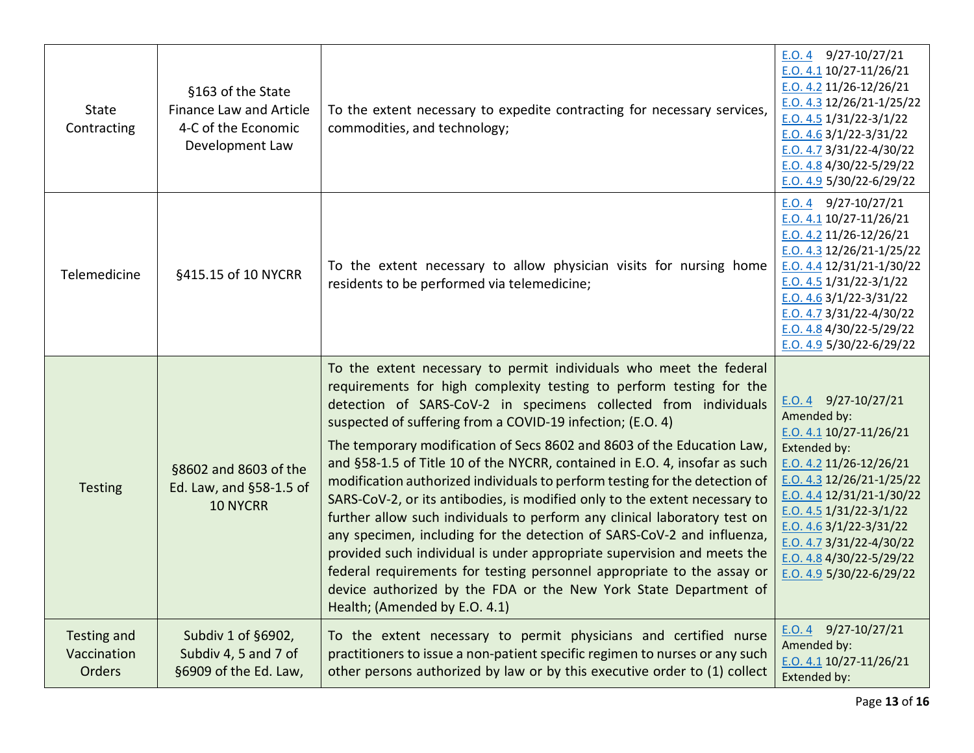| State<br>Contracting                        | §163 of the State<br>Finance Law and Article<br>4-C of the Economic<br>Development Law | To the extent necessary to expedite contracting for necessary services,<br>commodities, and technology;                                                                                                                                                                                                                                                                                                                                                                                                                                                                                                                                                                                                                                                                                                                                                                                                                                                                                                          | E.O. 4 $9/27-10/27/21$<br>$E.0.4.1$ 10/27-11/26/21<br>$E.0.4.2$ 11/26-12/26/21<br>$E.0.4.3$ 12/26/21-1/25/22<br>$E.0.4.5$ 1/31/22-3/1/22<br>$E. O. 4.6$ 3/1/22-3/31/22<br>E.O. $4.73/31/22 - 4/30/22$<br>E.O. $4.84/30/22 - 5/29/22$<br>E.O. 4.9 $5/30/22 - 6/29/22$                                                                  |
|---------------------------------------------|----------------------------------------------------------------------------------------|------------------------------------------------------------------------------------------------------------------------------------------------------------------------------------------------------------------------------------------------------------------------------------------------------------------------------------------------------------------------------------------------------------------------------------------------------------------------------------------------------------------------------------------------------------------------------------------------------------------------------------------------------------------------------------------------------------------------------------------------------------------------------------------------------------------------------------------------------------------------------------------------------------------------------------------------------------------------------------------------------------------|---------------------------------------------------------------------------------------------------------------------------------------------------------------------------------------------------------------------------------------------------------------------------------------------------------------------------------------|
| Telemedicine                                | §415.15 of 10 NYCRR                                                                    | To the extent necessary to allow physician visits for nursing home<br>residents to be performed via telemedicine;                                                                                                                                                                                                                                                                                                                                                                                                                                                                                                                                                                                                                                                                                                                                                                                                                                                                                                | $E.0.4$ 9/27-10/27/21<br>E.O. 4.1 10/27-11/26/21<br>E.O. 4.2 11/26-12/26/21<br>E.O. $4.3$ 12/26/21-1/25/22<br>$E.0.4.4$ 12/31/21-1/30/22<br>$E.0.4.5$ 1/31/22-3/1/22<br>$E.0.4.6$ 3/1/22-3/31/22<br>E.O. 4.7 3/31/22-4/30/22<br>E.O. $4.84/30/22 - 5/29/22$<br>E.O. 4.9 $5/30/22 - 6/29/22$                                           |
| <b>Testing</b>                              | §8602 and 8603 of the<br>Ed. Law, and §58-1.5 of<br><b>10 NYCRR</b>                    | To the extent necessary to permit individuals who meet the federal<br>requirements for high complexity testing to perform testing for the<br>detection of SARS-CoV-2 in specimens collected from individuals<br>suspected of suffering from a COVID-19 infection; (E.O. 4)<br>The temporary modification of Secs 8602 and 8603 of the Education Law,<br>and §58-1.5 of Title 10 of the NYCRR, contained in E.O. 4, insofar as such<br>modification authorized individuals to perform testing for the detection of<br>SARS-CoV-2, or its antibodies, is modified only to the extent necessary to<br>further allow such individuals to perform any clinical laboratory test on<br>any specimen, including for the detection of SARS-CoV-2 and influenza,<br>provided such individual is under appropriate supervision and meets the<br>federal requirements for testing personnel appropriate to the assay or<br>device authorized by the FDA or the New York State Department of<br>Health; (Amended by E.O. 4.1) | E.O. 4 $9/27-10/27/21$<br>Amended by:<br>$E. O. 4.1 10/27 - 11/26/21$<br>Extended by:<br>$E.0.4.2$ 11/26-12/26/21<br>$E.0.4.3$ 12/26/21-1/25/22<br>E.O. 4.4 $12/31/21 - 1/30/22$<br>$E. O. 4.5$ 1/31/22-3/1/22<br>E.O. $4.63/1/22-3/31/22$<br>E.O. 4.7 $3/31/22 - 4/30/22$<br>E.O. $4.84/30/22 - 5/29/22$<br>E.O. 4.9 5/30/22-6/29/22 |
| <b>Testing and</b><br>Vaccination<br>Orders | Subdiv 1 of §6902,<br>Subdiv 4, 5 and 7 of<br>§6909 of the Ed. Law,                    | To the extent necessary to permit physicians and certified nurse<br>practitioners to issue a non-patient specific regimen to nurses or any such<br>other persons authorized by law or by this executive order to (1) collect                                                                                                                                                                                                                                                                                                                                                                                                                                                                                                                                                                                                                                                                                                                                                                                     | $9/27 - 10/27/21$<br>E.O.4<br>Amended by:<br>$E. O. 4.1 10/27 - 11/26/21$<br>Extended by:                                                                                                                                                                                                                                             |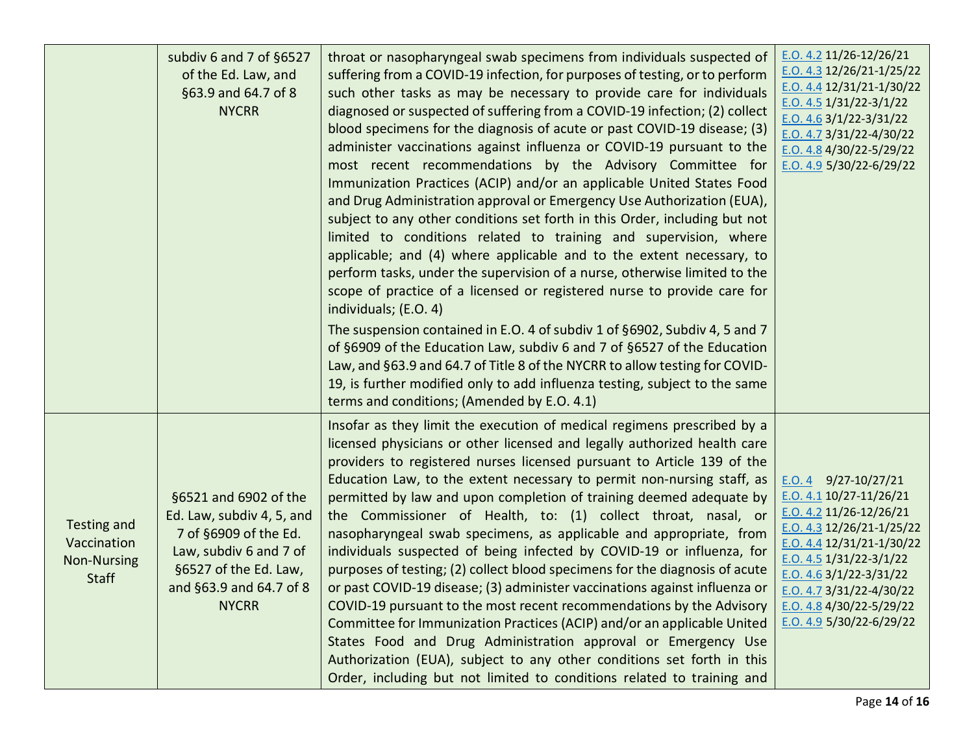|                                                                  | subdiv 6 and 7 of §6527<br>of the Ed. Law, and<br>§63.9 and 64.7 of 8<br><b>NYCRR</b>                                                                                     | throat or nasopharyngeal swab specimens from individuals suspected of<br>suffering from a COVID-19 infection, for purposes of testing, or to perform<br>such other tasks as may be necessary to provide care for individuals<br>diagnosed or suspected of suffering from a COVID-19 infection; (2) collect<br>blood specimens for the diagnosis of acute or past COVID-19 disease; (3)<br>administer vaccinations against influenza or COVID-19 pursuant to the<br>most recent recommendations by the Advisory Committee for<br>Immunization Practices (ACIP) and/or an applicable United States Food<br>and Drug Administration approval or Emergency Use Authorization (EUA),<br>subject to any other conditions set forth in this Order, including but not<br>limited to conditions related to training and supervision, where<br>applicable; and (4) where applicable and to the extent necessary, to<br>perform tasks, under the supervision of a nurse, otherwise limited to the<br>scope of practice of a licensed or registered nurse to provide care for<br>individuals; (E.O. 4)<br>The suspension contained in E.O. 4 of subdiv 1 of §6902, Subdiv 4, 5 and 7<br>of §6909 of the Education Law, subdiv 6 and 7 of §6527 of the Education<br>Law, and §63.9 and 64.7 of Title 8 of the NYCRR to allow testing for COVID-<br>19, is further modified only to add influenza testing, subject to the same<br>terms and conditions; (Amended by E.O. 4.1) | $E.0.4.2$ 11/26-12/26/21<br>$E. O. 4.3 12/26/21-1/25/22$<br>$E. O. 4.4 12/31/21 - 1/30/22$<br>E.O. 4.5 $1/31/22 - 3/1/22$<br>E.O. 4.6 $3/1/22 - 3/31/22$<br>E.O. 4.7 $3/31/22 - 4/30/22$<br>E.O. 4.8 $4/30/22 - 5/29/22$<br>E.O. 4.9 $5/30/22 - 6/29/22$                                           |
|------------------------------------------------------------------|---------------------------------------------------------------------------------------------------------------------------------------------------------------------------|-----------------------------------------------------------------------------------------------------------------------------------------------------------------------------------------------------------------------------------------------------------------------------------------------------------------------------------------------------------------------------------------------------------------------------------------------------------------------------------------------------------------------------------------------------------------------------------------------------------------------------------------------------------------------------------------------------------------------------------------------------------------------------------------------------------------------------------------------------------------------------------------------------------------------------------------------------------------------------------------------------------------------------------------------------------------------------------------------------------------------------------------------------------------------------------------------------------------------------------------------------------------------------------------------------------------------------------------------------------------------------------------------------------------------------------------------------------------|----------------------------------------------------------------------------------------------------------------------------------------------------------------------------------------------------------------------------------------------------------------------------------------------------|
| Testing and<br>Vaccination<br><b>Non-Nursing</b><br><b>Staff</b> | §6521 and 6902 of the<br>Ed. Law, subdiv 4, 5, and<br>7 of §6909 of the Ed.<br>Law, subdiv 6 and 7 of<br>§6527 of the Ed. Law,<br>and §63.9 and 64.7 of 8<br><b>NYCRR</b> | Insofar as they limit the execution of medical regimens prescribed by a<br>licensed physicians or other licensed and legally authorized health care<br>providers to registered nurses licensed pursuant to Article 139 of the<br>Education Law, to the extent necessary to permit non-nursing staff, as<br>permitted by law and upon completion of training deemed adequate by<br>the Commissioner of Health, to: (1) collect throat, nasal, or<br>nasopharyngeal swab specimens, as applicable and appropriate, from<br>individuals suspected of being infected by COVID-19 or influenza, for<br>purposes of testing; (2) collect blood specimens for the diagnosis of acute<br>or past COVID-19 disease; (3) administer vaccinations against influenza or<br>COVID-19 pursuant to the most recent recommendations by the Advisory<br>Committee for Immunization Practices (ACIP) and/or an applicable United<br>States Food and Drug Administration approval or Emergency Use<br>Authorization (EUA), subject to any other conditions set forth in this<br>Order, including but not limited to conditions related to training and                                                                                                                                                                                                                                                                                                                             | $E.0.4$ 9/27-10/27/21<br>$E.0.4.1$ 10/27-11/26/21<br>E.O. 4.2 11/26-12/26/21<br>E.O. 4.3 $12/26/21 - 1/25/22$<br>$E. O. 4.4 12/31/21-1/30/22$<br>$E. O. 4.5$ 1/31/22-3/1/22<br>$E.0.4.6$ 3/1/22-3/31/22<br>$E. O. 4.7$ 3/31/22-4/30/22<br>E.O. 4.8 4/30/22-5/29/22<br>E.O. 4.9 $5/30/22 - 6/29/22$ |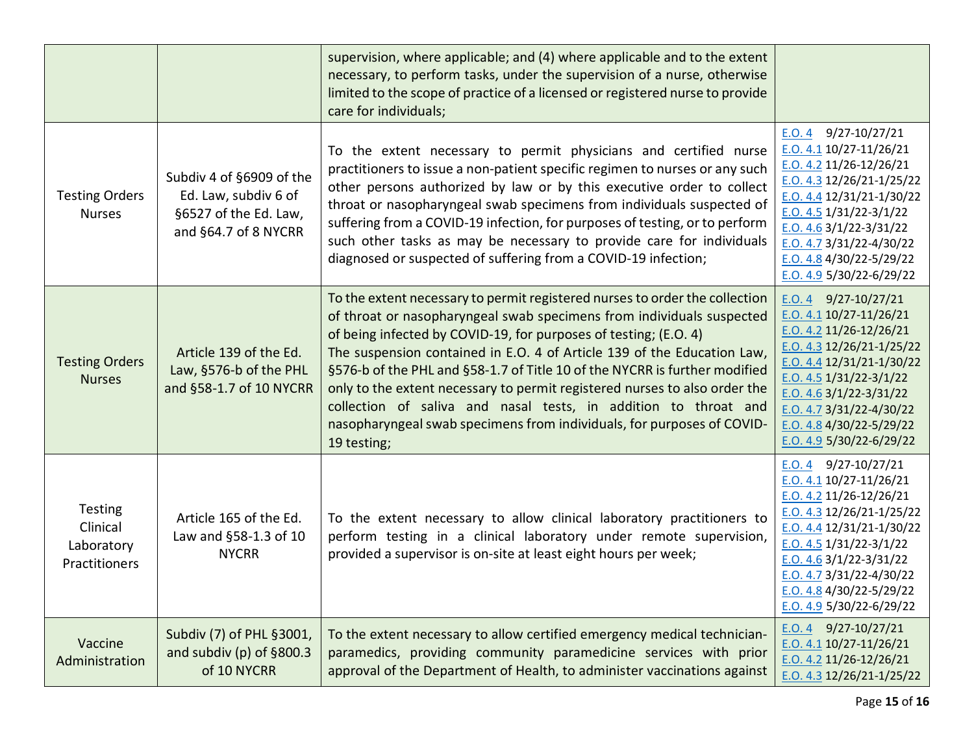|                                                    |                                                                                                   | supervision, where applicable; and (4) where applicable and to the extent<br>necessary, to perform tasks, under the supervision of a nurse, otherwise<br>limited to the scope of practice of a licensed or registered nurse to provide<br>care for individuals;                                                                                                                                                                                                                                                                                                                                                             |                                                                                                                                                                                                                                                                                                   |
|----------------------------------------------------|---------------------------------------------------------------------------------------------------|-----------------------------------------------------------------------------------------------------------------------------------------------------------------------------------------------------------------------------------------------------------------------------------------------------------------------------------------------------------------------------------------------------------------------------------------------------------------------------------------------------------------------------------------------------------------------------------------------------------------------------|---------------------------------------------------------------------------------------------------------------------------------------------------------------------------------------------------------------------------------------------------------------------------------------------------|
| <b>Testing Orders</b><br><b>Nurses</b>             | Subdiv 4 of §6909 of the<br>Ed. Law, subdiv 6 of<br>§6527 of the Ed. Law,<br>and §64.7 of 8 NYCRR | To the extent necessary to permit physicians and certified nurse<br>practitioners to issue a non-patient specific regimen to nurses or any such<br>other persons authorized by law or by this executive order to collect<br>throat or nasopharyngeal swab specimens from individuals suspected of<br>suffering from a COVID-19 infection, for purposes of testing, or to perform<br>such other tasks as may be necessary to provide care for individuals<br>diagnosed or suspected of suffering from a COVID-19 infection;                                                                                                  | E.O. 4<br>9/27-10/27/21<br>$E. O. 4.1 10/27 - 11/26/21$<br>E.O. 4.2 11/26-12/26/21<br>E.O. 4.3 12/26/21-1/25/22<br>$E.0.4.4$ 12/31/21-1/30/22<br>$E.0.4.5$ 1/31/22-3/1/22<br>E.O. $4.63/1/22-3/31/22$<br>$E.0.4.73/3/22-4/30/22$<br>E.O. 4.8 4/30/22-5/29/22<br>E.O. 4.9 $5/30/22 - 6/29/22$      |
| <b>Testing Orders</b><br><b>Nurses</b>             | Article 139 of the Ed.<br>Law, §576-b of the PHL<br>and §58-1.7 of 10 NYCRR                       | To the extent necessary to permit registered nurses to order the collection<br>of throat or nasopharyngeal swab specimens from individuals suspected<br>of being infected by COVID-19, for purposes of testing; (E.O. 4)<br>The suspension contained in E.O. 4 of Article 139 of the Education Law,<br>§576-b of the PHL and §58-1.7 of Title 10 of the NYCRR is further modified<br>only to the extent necessary to permit registered nurses to also order the<br>collection of saliva and nasal tests, in addition to throat and<br>nasopharyngeal swab specimens from individuals, for purposes of COVID-<br>19 testing; | $E.0.4$ 9/27-10/27/21<br>E.O. 4.1 10/27-11/26/21<br>E.O. 4.2 11/26-12/26/21<br>$E.0.4.3$ 12/26/21-1/25/22<br>E.O. 4.4 $12/31/21 - 1/30/22$<br>E.O. 4.5 $1/31/22-3/1/22$<br>$E. O. 4.6$ 3/1/22-3/31/22<br>E.O. 4.7 $3/31/22 - 4/30/22$<br>E.O. 4.8 $4/30/22 - 5/29/22$<br>E.O. 4.9 5/30/22-6/29/22 |
| Testing<br>Clinical<br>Laboratory<br>Practitioners | Article 165 of the Ed.<br>Law and §58-1.3 of 10<br><b>NYCRR</b>                                   | To the extent necessary to allow clinical laboratory practitioners to<br>perform testing in a clinical laboratory under remote supervision,<br>provided a supervisor is on-site at least eight hours per week;                                                                                                                                                                                                                                                                                                                                                                                                              | $E.0.4$ 9/27-10/27/21<br>E.O. 4.1 10/27-11/26/21<br>E.O. 4.2 11/26-12/26/21<br>$E.0.4.3$ 12/26/21-1/25/22<br>$E.0.4.4$ 12/31/21-1/30/22<br>E.O. 4.5 $1/31/22-3/1/22$<br>E.O. $4.63/1/22-3/31/22$<br>E.O. 4.7 3/31/22-4/30/22<br>E.O. 4.8 4/30/22-5/29/22<br>E.O. 4.9 5/30/22-6/29/22              |
| Vaccine<br>Administration                          | Subdiv (7) of PHL §3001,<br>and subdiv (p) of §800.3<br>of 10 NYCRR                               | To the extent necessary to allow certified emergency medical technician-<br>paramedics, providing community paramedicine services with prior<br>approval of the Department of Health, to administer vaccinations against                                                                                                                                                                                                                                                                                                                                                                                                    | $E.0.4$ 9/27-10/27/21<br>$E. O. 4.1 10/27 - 11/26/21$<br>E.O. 4.2 11/26-12/26/21<br>E.O. 4.3 12/26/21-1/25/22                                                                                                                                                                                     |